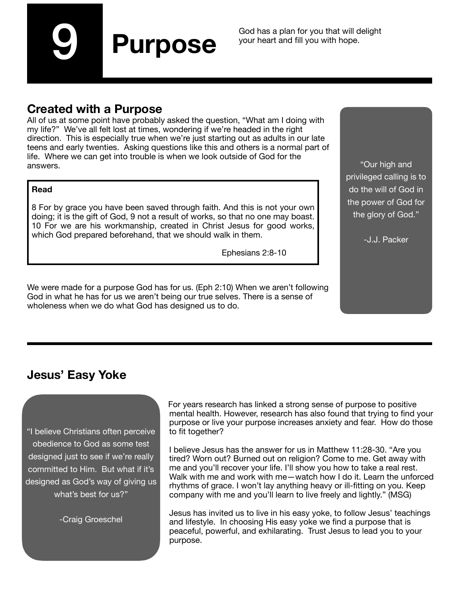9

God has a plan for you that will delight your heart and fill you with hope.

### **Created with a Purpose**

All of us at some point have probably asked the question, "What am I doing with my life?" We've all felt lost at times, wondering if we're headed in the right direction. This is especially true when we're just starting out as adults in our late teens and early twenties. Asking questions like this and others is a normal part of life. Where we can get into trouble is when we look outside of God for the answers.

**Purpose**

#### **Read**

8 For by grace you have been saved through faith. And this is not your own doing; it is the gift of God, 9 not a result of works, so that no one may boast. 10 For we are his workmanship, created in Christ Jesus for good works, which God prepared beforehand, that we should walk in them.

 Ephesians 2:8-10

We were made for a purpose God has for us. (Eph 2:10) When we aren't following God in what he has for us we aren't being our true selves. There is a sense of wholeness when we do what God has designed us to do.

"Our high and privileged calling is to do the will of God in the power of God for the glory of God."

-J.J. Packer

## **Jesus' Easy Yoke**

"I believe Christians often perceive obedience to God as some test designed just to see if we're really committed to Him. But what if it's designed as God's way of giving us what's best for us?"

-Craig Groeschel

For years research has linked a strong sense of purpose to positive mental health. However, research has also found that trying to find your purpose or live your purpose increases anxiety and fear. How do those to fit together?

I believe Jesus has the answer for us in Matthew 11:28-30. "Are you tired? Worn out? Burned out on religion? Come to me. Get away with me and you'll recover your life. I'll show you how to take a real rest. Walk with me and work with me—watch how I do it. Learn the unforced rhythms of grace. I won't lay anything heavy or ill-fitting on you. Keep company with me and you'll learn to live freely and lightly." (MSG)

Jesus has invited us to live in his easy yoke, to follow Jesus' teachings and lifestyle. In choosing His easy yoke we find a purpose that is peaceful, powerful, and exhilarating. Trust Jesus to lead you to your purpose.